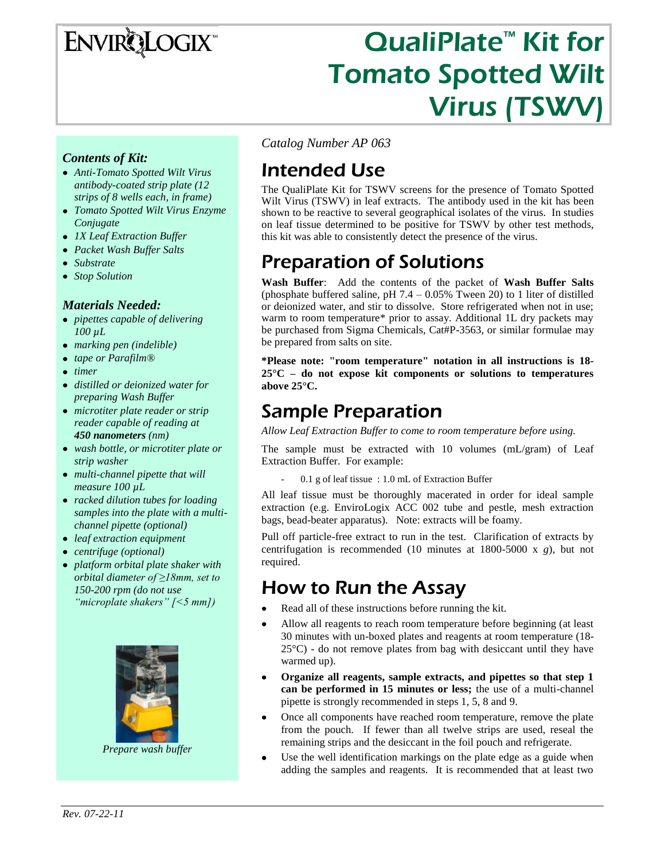# ENVIRQLOGIX

# QualiPlate<sup>™</sup> Kit for Tomato Spotted Wilt Virus (TSWV)

#### *Contents of Kit:*

- *Anti-Tomato Spotted Wilt Virus antibody-coated strip plate (12 strips of 8 wells each, in frame)*
- *Tomato Spotted Wilt Virus Enzyme Conjugate*
- *1X Leaf Extraction Buffer*
- *Packet Wash Buffer Salts*
- *Substrate*
- *Stop Solution*

#### *Materials Needed:*

- *pipettes capable of delivering 100 µL*
- *marking pen (indelible)*
- *tape or Parafilm®*
- *timer*
- *distilled or deionized water for preparing Wash Buffer*
- *microtiter plate reader or strip reader capable of reading at 450 nanometers (nm)*
- *wash bottle, or microtiter plate or strip washer*
- *multi-channel pipette that will measure 100 µL*
- *racked dilution tubes for loading samples into the plate with a multichannel pipette (optional)*
- *leaf extraction equipment*
- *centrifuge (optional)*
- *platform orbital plate shaker with orbital diameter of ≥18mm, set to 150-200 rpm (do not use "microplate shakers" [<5 mm])*



*Prepare wash buffer*

*Catalog Number AP 063*

## Intended Use

The QualiPlate Kit for TSWV screens for the presence of Tomato Spotted Wilt Virus (TSWV) in leaf extracts. The antibody used in the kit has been shown to be reactive to several geographical isolates of the virus. In studies on leaf tissue determined to be positive for TSWV by other test methods, this kit was able to consistently detect the presence of the virus.

### Preparation of Solutions

**Wash Buffer**: Add the contents of the packet of **Wash Buffer Salts** (phosphate buffered saline, pH  $7.4 - 0.05\%$  Tween 20) to 1 liter of distilled or deionized water, and stir to dissolve. Store refrigerated when not in use; warm to room temperature\* prior to assay. Additional 1L dry packets may be purchased from Sigma Chemicals, Cat#P-3563, or similar formulae may be prepared from salts on site.

**\*Please note: "room temperature" notation in all instructions is 18- 25°C – do not expose kit components or solutions to temperatures above 25°C.**

### Sample Preparation

*Allow Leaf Extraction Buffer to come to room temperature before using.* 

The sample must be extracted with 10 volumes (mL/gram) of Leaf Extraction Buffer. For example:

- 0.1 g of leaf tissue : 1.0 mL of Extraction Buffer

All leaf tissue must be thoroughly macerated in order for ideal sample extraction (e.g. EnviroLogix ACC 002 tube and pestle, mesh extraction bags, bead-beater apparatus). Note: extracts will be foamy.

Pull off particle-free extract to run in the test. Clarification of extracts by centrifugation is recommended (10 minutes at 1800-5000 x *g*), but not required.

### How to Run the Assay

- Read all of these instructions before running the kit.  $\bullet$
- $\bullet$ Allow all reagents to reach room temperature before beginning (at least 30 minutes with un-boxed plates and reagents at room temperature (18-  $25^{\circ}$ C) - do not remove plates from bag with desiccant until they have warmed up).
- $\bullet$ **Organize all reagents, sample extracts, and pipettes so that step 1 can be performed in 15 minutes or less;** the use of a multi-channel pipette is strongly recommended in steps 1, 5, 8 and 9.
- Once all components have reached room temperature, remove the plate  $\bullet$ from the pouch. If fewer than all twelve strips are used, reseal the remaining strips and the desiccant in the foil pouch and refrigerate.
- Use the well identification markings on the plate edge as a guide when  $\bullet$ adding the samples and reagents. It is recommended that at least two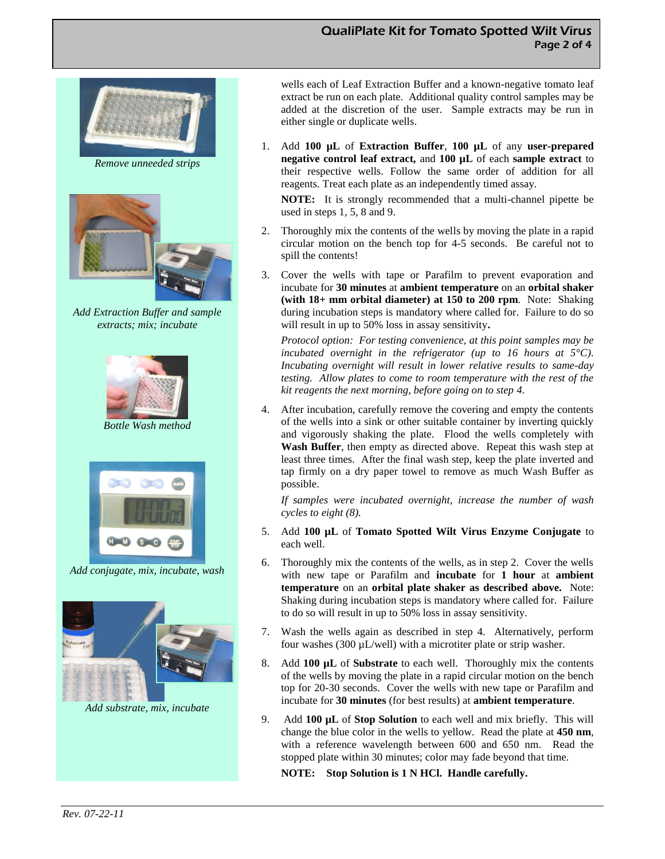



*Remove unneeded strips*



*Add Extraction Buffer and sample extracts; mix; incubate*



*Bottle Wash method*



*Add conjugate, mix, incubate, wash*



*Add substrate, mix, incubate*

wells each of Leaf Extraction Buffer and a known-negative tomato leaf extract be run on each plate. Additional quality control samples may be added at the discretion of the user. Sample extracts may be run in either single or duplicate wells.

1. Add **100 µL** of **Extraction Buffer**, **100 µL** of any **user-prepared negative control leaf extract,** and **100 µL** of each **sample extract** to their respective wells. Follow the same order of addition for all reagents. Treat each plate as an independently timed assay.

**NOTE:** It is strongly recommended that a multi-channel pipette be used in steps 1, 5, 8 and 9.

- 2. Thoroughly mix the contents of the wells by moving the plate in a rapid circular motion on the bench top for 4-5 seconds. Be careful not to spill the contents!
- 3. Cover the wells with tape or Parafilm to prevent evaporation and incubate for **30 minutes** at **ambient temperature** on an **orbital shaker (with 18+ mm orbital diameter) at 150 to 200 rpm**. Note: Shaking during incubation steps is mandatory where called for. Failure to do so will result in up to 50% loss in assay sensitivity**.**

*Protocol option: For testing convenience, at this point samples may be incubated overnight in the refrigerator (up to 16 hours at 5°C). Incubating overnight will result in lower relative results to same-day testing. Allow plates to come to room temperature with the rest of the kit reagents the next morning, before going on to step 4.*

4. After incubation, carefully remove the covering and empty the contents of the wells into a sink or other suitable container by inverting quickly and vigorously shaking the plate. Flood the wells completely with **Wash Buffer**, then empty as directed above. Repeat this wash step at least three times. After the final wash step, keep the plate inverted and tap firmly on a dry paper towel to remove as much Wash Buffer as possible.

*If samples were incubated overnight, increase the number of wash cycles to eight (8).*

- 5. Add **100 µL** of **Tomato Spotted Wilt Virus Enzyme Conjugate** to each well.
- 6. Thoroughly mix the contents of the wells, as in step 2. Cover the wells with new tape or Parafilm and **incubate** for **1 hour** at **ambient temperature** on an **orbital plate shaker as described above.** Note: Shaking during incubation steps is mandatory where called for. Failure to do so will result in up to 50% loss in assay sensitivity.
- 7. Wash the wells again as described in step 4. Alternatively, perform four washes (300 µL/well) with a microtiter plate or strip washer.
- 8. Add **100 µL** of **Substrate** to each well. Thoroughly mix the contents of the wells by moving the plate in a rapid circular motion on the bench top for 20-30 seconds. Cover the wells with new tape or Parafilm and incubate for **30 minutes** (for best results) at **ambient temperature**.
- 9. Add **100 µL** of **Stop Solution** to each well and mix briefly. This will change the blue color in the wells to yellow. Read the plate at **450 nm**, with a reference wavelength between 600 and 650 nm. Read the stopped plate within 30 minutes; color may fade beyond that time.

**NOTE: Stop Solution is 1 N HCl. Handle carefully.**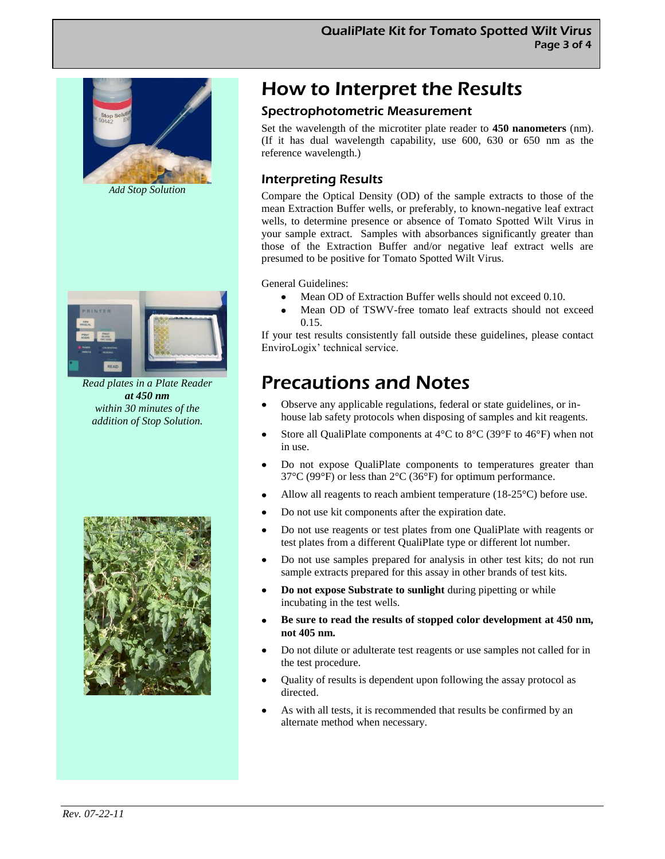

*Add Stop Solution*



*Read plates in a Plate Reader at 450 nm within 30 minutes of the addition of Stop Solution.*



### How to Interpret the Results

#### Spectrophotometric Measurement

Set the wavelength of the microtiter plate reader to **450 nanometers** (nm). (If it has dual wavelength capability, use 600, 630 or 650 nm as the reference wavelength.)

#### Interpreting Results

Compare the Optical Density (OD) of the sample extracts to those of the mean Extraction Buffer wells, or preferably, to known-negative leaf extract wells, to determine presence or absence of Tomato Spotted Wilt Virus in your sample extract. Samples with absorbances significantly greater than those of the Extraction Buffer and/or negative leaf extract wells are presumed to be positive for Tomato Spotted Wilt Virus.

General Guidelines:

- Mean OD of Extraction Buffer wells should not exceed 0.10.
- Mean OD of TSWV-free tomato leaf extracts should not exceed 0.15.

If your test results consistently fall outside these guidelines, please contact EnviroLogix' technical service.

### Precautions and Notes

- Observe any applicable regulations, federal or state guidelines, or inhouse lab safety protocols when disposing of samples and kit reagents.
- Store all QualiPlate components at  $4^{\circ}$ C to  $8^{\circ}$ C (39 $^{\circ}$ F to  $46^{\circ}$ F) when not in use.
- $\bullet$ Do not expose QualiPlate components to temperatures greater than 37°C (99°F) or less than 2°C (36°F) for optimum performance.
- Allow all reagents to reach ambient temperature  $(18-25^{\circ}C)$  before use.  $\bullet$
- Do not use kit components after the expiration date.
- Do not use reagents or test plates from one QualiPlate with reagents or test plates from a different QualiPlate type or different lot number.
- Do not use samples prepared for analysis in other test kits; do not run  $\bullet$ sample extracts prepared for this assay in other brands of test kits.
- $\bullet$ **Do not expose Substrate to sunlight** during pipetting or while incubating in the test wells.
- **Be sure to read the results of stopped color development at 450 nm,**   $\bullet$ **not 405 nm.**
- Do not dilute or adulterate test reagents or use samples not called for in the test procedure.
- Quality of results is dependent upon following the assay protocol as  $\bullet$ directed.
- As with all tests, it is recommended that results be confirmed by an alternate method when necessary.